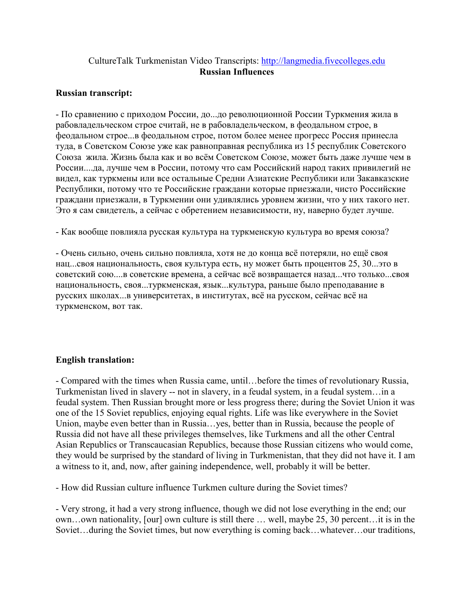## CultureTalk Turkmenistan Video Transcripts: [http://langmedia.fivecolleges.edu](http://langmedia.fivecolleges.edu/) Russian Influences

## Russian transcript:

- По сравнению с приходом России, до...до революционной России Туркмения жила в рабовладельческом строе считай, не в рабовладельческом, в феодальном строе, в феодальном строе...в феодальном строе, потом более менее прогресс Россия принесла туда, в Советском Союзе уже как равноправная республика из 15 республик Советского Союза жила. Жизнь была как и во всём Советском Союзе, может быть даже лучше чем в России....да, лучше чем в России, потому что сам Российский народ таких привилегий не видел, как туркмены или все остальные Средни Азиатские Республики или Закавказские Республики, потому что те Российские граждани которые приезжали, чисто Российские граждани приезжали, в Туркмении они удивлялись уровнем жизни, что у них такого нет. Это я сам свидетель, а сейчас с обретением независимости, ну, наверно будет лучше.

- Как вообще повлияла русская культура на туркменскую культура во время союза?

- Очень сильно, очень сильно повлияла, хотя не до конца всё потеряли, но ещё своя нац...своя национальность, своя культура есть, ну может быть процентов 25, 30...это в советский сою....в советские времена, а сейчас всё возвращается назад...что только...своя национальность, своя...туркменская, язык...культура, раньше было преподавание в русских школах...в университетах, в институтах, всё на русском, сейчас всё на туркменском, вот так.

## English translation:

- Compared with the times when Russia came, until…before the times of revolutionary Russia, Turkmenistan lived in slavery -- not in slavery, in a feudal system, in a feudal system…in a feudal system. Then Russian brought more or less progress there; during the Soviet Union it was one of the 15 Soviet republics, enjoying equal rights. Life was like everywhere in the Soviet Union, maybe even better than in Russia…yes, better than in Russia, because the people of Russia did not have all these privileges themselves, like Turkmens and all the other Central Asian Republics or Transcaucasian Republics, because those Russian citizens who would come, they would be surprised by the standard of living in Turkmenistan, that they did not have it. I am a witness to it, and, now, after gaining independence, well, probably it will be better.

- How did Russian culture influence Turkmen culture during the Soviet times?

- Very strong, it had a very strong influence, though we did not lose everything in the end; our own…own nationality, [our] own culture is still there … well, maybe 25, 30 percent…it is in the Soviet…during the Soviet times, but now everything is coming back…whatever…our traditions,